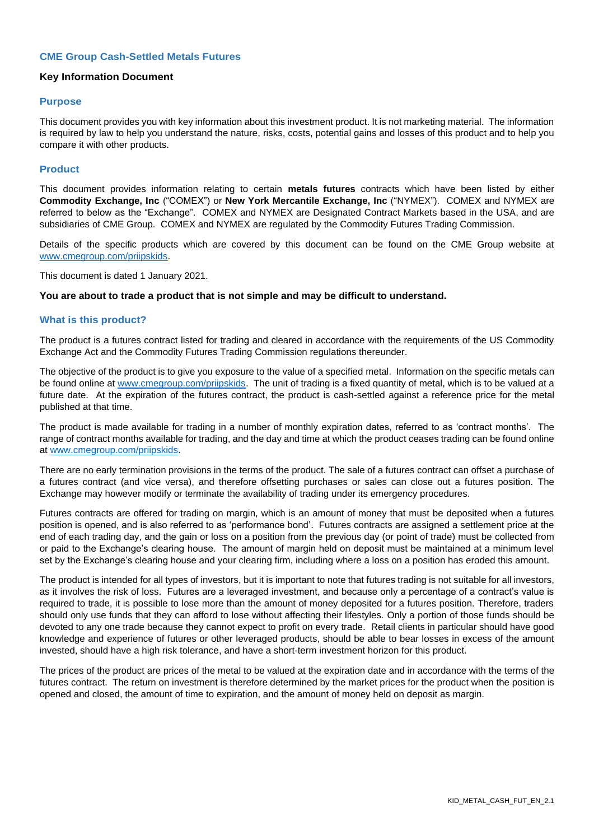#### **CME Group Cash-Settled Metals Futures**

#### **Key Information Document**

#### **Purpose**

This document provides you with key information about this investment product. It is not marketing material. The information is required by law to help you understand the nature, risks, costs, potential gains and losses of this product and to help you compare it with other products.

## **Product**

This document provides information relating to certain **metals futures** contracts which have been listed by either **Commodity Exchange, Inc** ("COMEX") or **New York Mercantile Exchange, Inc** ("NYMEX"). COMEX and NYMEX are referred to below as the "Exchange". COMEX and NYMEX are Designated Contract Markets based in the USA, and are subsidiaries of CME Group. COMEX and NYMEX are regulated by the Commodity Futures Trading Commission.

Details of the specific products which are covered by this document can be found on the CME Group website at [www.cmegroup.com/priipskids.](http://www.cmegroup.com/priipskids)

This document is dated 1 January 2021.

#### **You are about to trade a product that is not simple and may be difficult to understand.**

#### **What is this product?**

The product is a futures contract listed for trading and cleared in accordance with the requirements of the US Commodity Exchange Act and the Commodity Futures Trading Commission regulations thereunder.

The objective of the product is to give you exposure to the value of a specified metal. Information on the specific metals can be found online at [www.cmegroup.com/priipskids.](http://www.cmegroup.com/priipskids) The unit of trading is a fixed quantity of metal, which is to be valued at a future date. At the expiration of the futures contract, the product is cash-settled against a reference price for the metal published at that time.

The product is made available for trading in a number of monthly expiration dates, referred to as 'contract months'. The range of contract months available for trading, and the day and time at which the product ceases trading can be found online at [www.cmegroup.com/priipskids.](http://www.cmegroup.com/priipskids)

There are no early termination provisions in the terms of the product. The sale of a futures contract can offset a purchase of a futures contract (and vice versa), and therefore offsetting purchases or sales can close out a futures position. The Exchange may however modify or terminate the availability of trading under its emergency procedures.

Futures contracts are offered for trading on margin, which is an amount of money that must be deposited when a futures position is opened, and is also referred to as 'performance bond'. Futures contracts are assigned a settlement price at the end of each trading day, and the gain or loss on a position from the previous day (or point of trade) must be collected from or paid to the Exchange's clearing house. The amount of margin held on deposit must be maintained at a minimum level set by the Exchange's clearing house and your clearing firm, including where a loss on a position has eroded this amount.

The product is intended for all types of investors, but it is important to note that futures trading is not suitable for all investors, as it involves the risk of loss. Futures are a leveraged investment, and because only a percentage of a contract's value is required to trade, it is possible to lose more than the amount of money deposited for a futures position. Therefore, traders should only use funds that they can afford to lose without affecting their lifestyles. Only a portion of those funds should be devoted to any one trade because they cannot expect to profit on every trade. Retail clients in particular should have good knowledge and experience of futures or other leveraged products, should be able to bear losses in excess of the amount invested, should have a high risk tolerance, and have a short-term investment horizon for this product.

The prices of the product are prices of the metal to be valued at the expiration date and in accordance with the terms of the futures contract. The return on investment is therefore determined by the market prices for the product when the position is opened and closed, the amount of time to expiration, and the amount of money held on deposit as margin.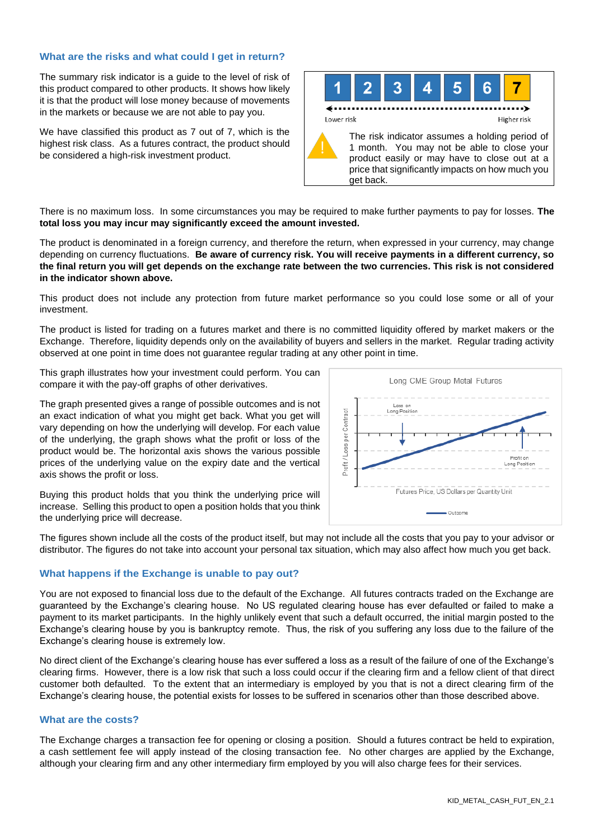## **What are the risks and what could I get in return?**

The summary risk indicator is a guide to the level of risk of this product compared to other products. It shows how likely it is that the product will lose money because of movements in the markets or because we are not able to pay you.

We have classified this product as 7 out of 7, which is the highest risk class. As a futures contract, the product should be considered a high-risk investment product.



There is no maximum loss. In some circumstances you may be required to make further payments to pay for losses. **The total loss you may incur may significantly exceed the amount invested.**

The product is denominated in a foreign currency, and therefore the return, when expressed in your currency, may change depending on currency fluctuations. **Be aware of currency risk. You will receive payments in a different currency, so the final return you will get depends on the exchange rate between the two currencies. This risk is not considered in the indicator shown above.**

This product does not include any protection from future market performance so you could lose some or all of your investment.

The product is listed for trading on a futures market and there is no committed liquidity offered by market makers or the Exchange. Therefore, liquidity depends only on the availability of buyers and sellers in the market. Regular trading activity observed at one point in time does not guarantee regular trading at any other point in time.

This graph illustrates how your investment could perform. You can compare it with the pay-off graphs of other derivatives.

The graph presented gives a range of possible outcomes and is not an exact indication of what you might get back. What you get will vary depending on how the underlying will develop. For each value of the underlying, the graph shows what the profit or loss of the product would be. The horizontal axis shows the various possible prices of the underlying value on the expiry date and the vertical axis shows the profit or loss.



Buying this product holds that you think the underlying price will increase. Selling this product to open a position holds that you think the underlying price will decrease.

The figures shown include all the costs of the product itself, but may not include all the costs that you pay to your advisor or distributor. The figures do not take into account your personal tax situation, which may also affect how much you get back.

## **What happens if the Exchange is unable to pay out?**

You are not exposed to financial loss due to the default of the Exchange. All futures contracts traded on the Exchange are guaranteed by the Exchange's clearing house. No US regulated clearing house has ever defaulted or failed to make a payment to its market participants. In the highly unlikely event that such a default occurred, the initial margin posted to the Exchange's clearing house by you is bankruptcy remote. Thus, the risk of you suffering any loss due to the failure of the Exchange's clearing house is extremely low.

No direct client of the Exchange's clearing house has ever suffered a loss as a result of the failure of one of the Exchange's clearing firms. However, there is a low risk that such a loss could occur if the clearing firm and a fellow client of that direct customer both defaulted. To the extent that an intermediary is employed by you that is not a direct clearing firm of the Exchange's clearing house, the potential exists for losses to be suffered in scenarios other than those described above.

## **What are the costs?**

The Exchange charges a transaction fee for opening or closing a position. Should a futures contract be held to expiration, a cash settlement fee will apply instead of the closing transaction fee. No other charges are applied by the Exchange, although your clearing firm and any other intermediary firm employed by you will also charge fees for their services.